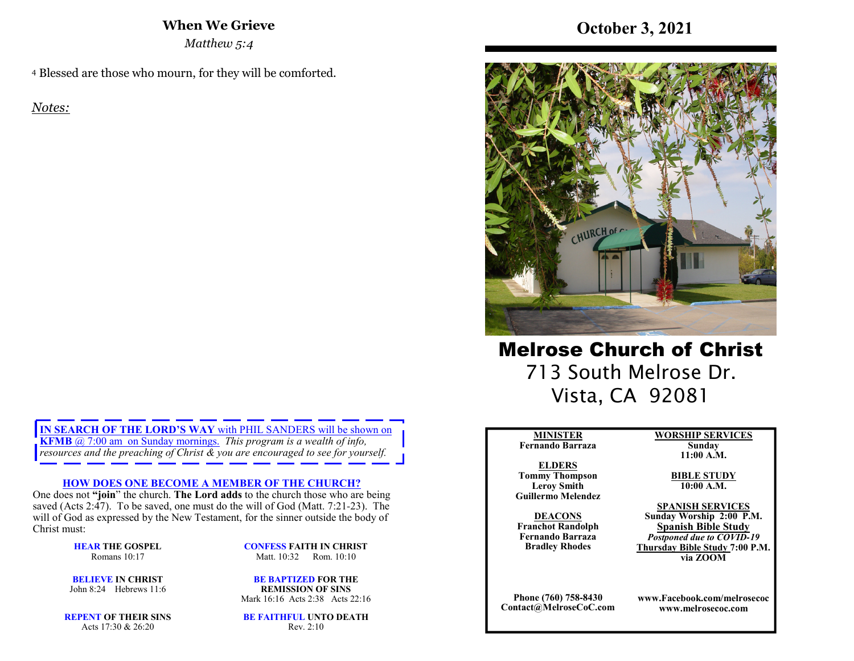### **When We Grieve**

*Matthew 5:4* 

4 Blessed are those who mourn, for they will be comforted.

*Notes:* 

**IN SEARCH OF THE LORD'S WAY** with PHIL SANDERS will be shown on **KFMB** @ 7:00 am on Sunday mornings. *This program is a wealth of info, resources and the preaching of Christ & you are encouraged to see for yourself.*

#### **HOW DOES ONE BECOME A MEMBER OF THE CHURCH?**

 One does not **"join**" the church. **The Lord adds** to the church those who are being saved (Acts 2:47). To be saved, one must do the will of God (Matt. 7:21-23). The will of God as expressed by the New Testament, for the sinner outside the body of Christ must:

> **HEAR THE GOSPEL**Romans 10:17

**CONFESS FAITH IN CHRIST**Matt. 10:32 Rom. 10:10

**BELIEVE IN CHRIST**John 8:24 Hebrews 11:6

**BE BAPTIZED FOR THE REMISSION OF SINS**Mark 16:16 Acts 2:38 Acts 22:16

**REPENT OF THEIR SINS**Acts 17:30 & 26:20

**BE FAITHFUL UNTO DEATH**Rev. 2:10

# **October 3, 2021**



Melrose Church of Christ 713 South Melrose Dr. Vista, CA 92081

### **MINISTER**

 **Fernando BarrazaELDERS** 

 **Tommy Thompson Leroy SmithGuillermo Melendez** 

**DEACONS Franchot Randolph Fernando BarrazaBradley Rhodes**

**Phone (760) 758-8430Contact@MelroseCoC.com** **WORSHIP SERVICESSunday** 

**11:00 A.M.** 

**BIBLE STUDY10:00 A.M.** 

**SPANISH SERVICES Sunday Worship 2:00 P.M.**

**Spanish Bible Study** *Postponed due to COVID-19*  **Thursday Bible Study 7:00 P.M.via ZOOM**

**www.Facebook.com/melrosecocwww.melrosecoc.com**